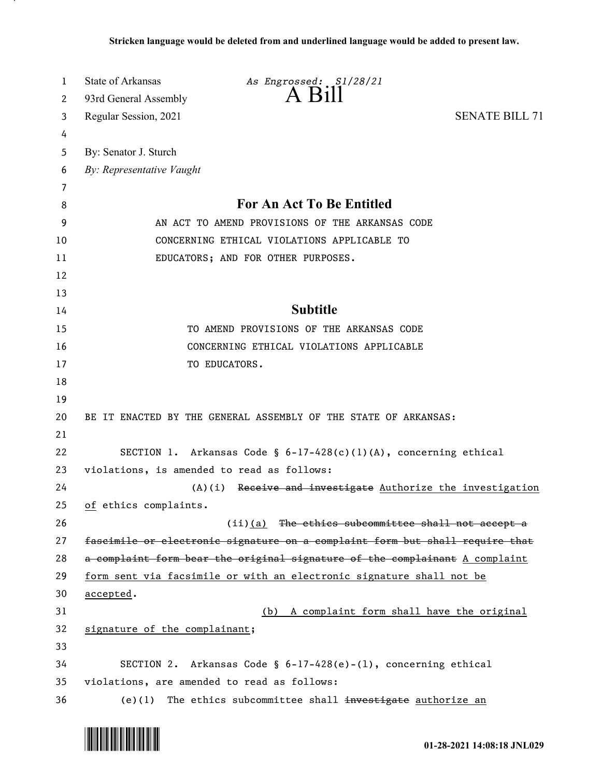| 1  | State of Arkansas<br>As Engrossed: S1/28/21                                  |  |
|----|------------------------------------------------------------------------------|--|
| 2  | $A$ $B1II$<br>93rd General Assembly                                          |  |
| 3  | <b>SENATE BILL 71</b><br>Regular Session, 2021                               |  |
| 4  |                                                                              |  |
| 5  | By: Senator J. Sturch                                                        |  |
| 6  | By: Representative Vaught                                                    |  |
| 7  |                                                                              |  |
| 8  | <b>For An Act To Be Entitled</b>                                             |  |
| 9  | AN ACT TO AMEND PROVISIONS OF THE ARKANSAS CODE                              |  |
| 10 | CONCERNING ETHICAL VIOLATIONS APPLICABLE TO                                  |  |
| 11 | EDUCATORS; AND FOR OTHER PURPOSES.                                           |  |
| 12 |                                                                              |  |
| 13 |                                                                              |  |
| 14 | <b>Subtitle</b>                                                              |  |
| 15 | TO AMEND PROVISIONS OF THE ARKANSAS CODE                                     |  |
| 16 | CONCERNING ETHICAL VIOLATIONS APPLICABLE                                     |  |
| 17 | TO EDUCATORS.                                                                |  |
| 18 |                                                                              |  |
| 19 |                                                                              |  |
| 20 | BE IT ENACTED BY THE GENERAL ASSEMBLY OF THE STATE OF ARKANSAS:              |  |
| 21 |                                                                              |  |
| 22 | SECTION 1. Arkansas Code § 6-17-428(c)(1)(A), concerning ethical             |  |
| 23 | violations, is amended to read as follows:                                   |  |
| 24 | Receive and investigate Authorize the investigation<br>(A)(i)                |  |
| 25 | of ethics complaints.                                                        |  |
| 26 | $(i)$ (a) The ethics subcommittee shall not accept a                         |  |
| 27 | fascimile or electronic signature on a complaint form but shall require that |  |
| 28 | a complaint form bear the original signature of the complainant A complaint  |  |
| 29 | form sent via facsimile or with an electronic signature shall not be         |  |
| 30 | accepted.                                                                    |  |
| 31 | (b) A complaint form shall have the original                                 |  |
| 32 | signature of the complainant;                                                |  |
| 33 |                                                                              |  |
| 34 | SECTION 2. Arkansas Code § $6-17-428(e)-(1)$ , concerning ethical            |  |
| 35 | violations, are amended to read as follows:                                  |  |
| 36 | The ethics subcommittee shall investigate authorize an<br>$(e)$ (1)          |  |

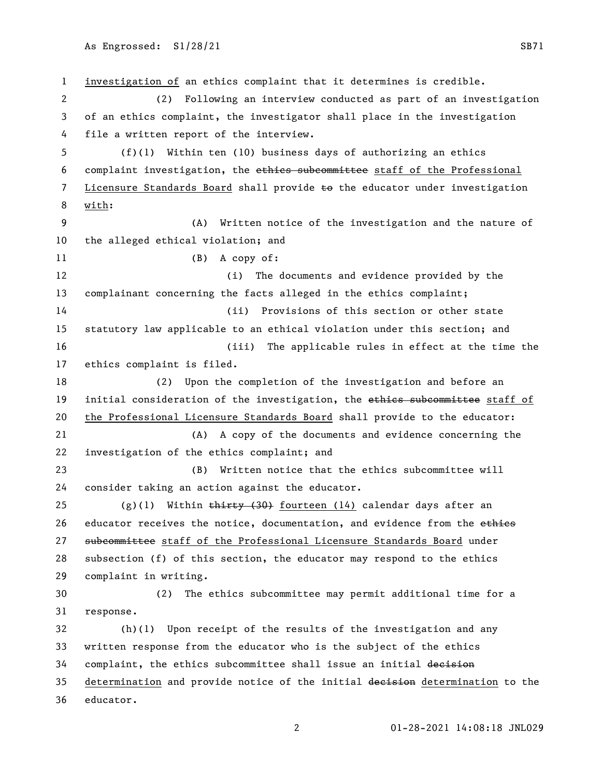investigation of an ethics complaint that it determines is credible. (2) Following an interview conducted as part of an investigation of an ethics complaint, the investigator shall place in the investigation file a written report of the interview. (f)(1) Within ten (10) business days of authorizing an ethics complaint investigation, the ethics subcommittee staff of the Professional 7 Licensure Standards Board shall provide to the educator under investigation with: (A) Written notice of the investigation and the nature of the alleged ethical violation; and (B) A copy of: (i) The documents and evidence provided by the complainant concerning the facts alleged in the ethics complaint; (ii) Provisions of this section or other state statutory law applicable to an ethical violation under this section; and (iii) The applicable rules in effect at the time the ethics complaint is filed. (2) Upon the completion of the investigation and before an 19 initial consideration of the investigation, the ethies subcommittee staff of the Professional Licensure Standards Board shall provide to the educator: (A) A copy of the documents and evidence concerning the investigation of the ethics complaint; and (B) Written notice that the ethics subcommittee will consider taking an action against the educator. 25 (g)(1) Within  $\frac{1}{2}$  (g)  $\frac{1}{2}$  fourteen (14) calendar days after an 26 educator receives the notice, documentation, and evidence from the ethies 27 subcommittee staff of the Professional Licensure Standards Board under subsection (f) of this section, the educator may respond to the ethics complaint in writing. (2) The ethics subcommittee may permit additional time for a response. (h)(1) Upon receipt of the results of the investigation and any written response from the educator who is the subject of the ethics 34 complaint, the ethics subcommittee shall issue an initial decision 35 determination and provide notice of the initial decision determination to the educator.

01-28-2021 14:08:18 JNL029